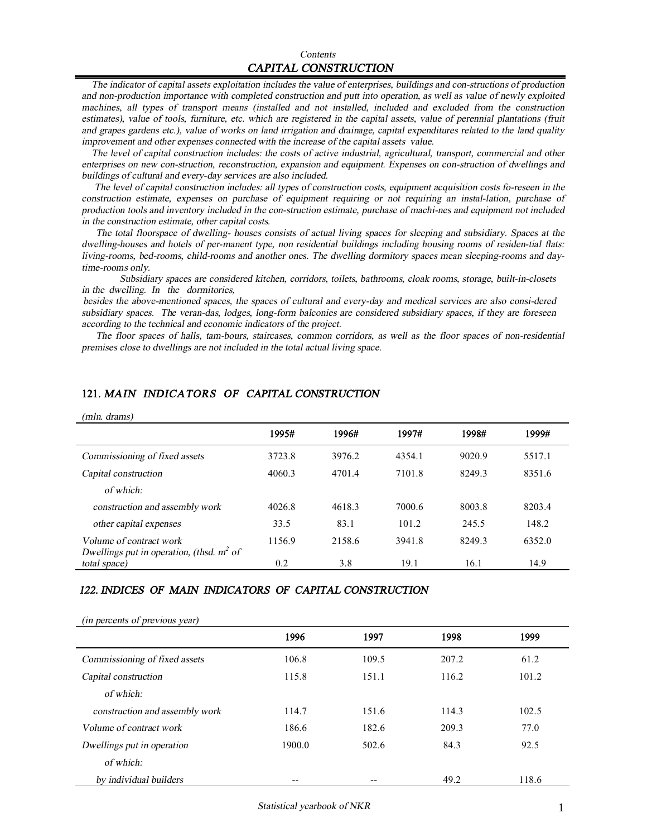The indicator of capital assets exploitation includes the value of enterprises, buildings and con-structions of production and non-production importance with completed construction and putt into operation, as well as value of newly exploited machines, all types of transport means (installed and not installed, included and excluded from the construction estimates), value of tools, furniture, etc. which are registered in the capital assets, value of perennial plantations (fruit and grapes gardens etc.), value of works on land irrigation and drainage, capital expenditures related to the land quality *improvement and other expenses connected with the increase of the capital assets value.* 

The level of capital construction includes: the costs of active industrial, agricultural, transport, commercial and other *enterprises on new con-struction, reconstruction, expansion and equipment. Expenses on con-struction of dwellings and buildings of cultural and every-day services are also included.*

The level of capital construction includes: all types of construction costs, equipment acquisition costs fo-reseen in the *construction estimate, expenses on purchase of equipment requiring or not requiring an instal-lation, purchase of*  production tools and inventory included in the con-struction estimate, purchase of machi-nes and equipment not included *in the construction estimate, other capital costs.* 

The total floorspace of dwelling- houses consists of actual living spaces for sleeping and subsidiary. Spaces at the dwelling-houses and hotels of per-manent type, non residential buildings including housing rooms of residen-tial flats: *living-rooms, bed-rooms, child-rooms and another ones. The dwelling dormitory spaces mean sleeping-rooms and daytime-rooms only.* 

*Subsidiary spaces are considered kitchen, corridors, toilets, bathrooms, cloak rooms, storage, built-in-closets in the dwelling. In the dormitories,* 

besides the above-mentioned spaces, the spaces of cultural and every-day and medical services are also consi-dered *subsidiary spaces. The veran-das, lodges, long-form balconies are considered subsidiary spaces, if they are foreseen according to the technical and economic indicators of the project.* 

The floor spaces of halls, tam-bours, staircases, common corridors, as well as the floor spaces of non-residential *premises close to dwellings are not included in the total actual living space.* 

| (mln. drams)                                                |        |        |        |        |        |
|-------------------------------------------------------------|--------|--------|--------|--------|--------|
|                                                             | 1995#  | 1996#  | 1997#  | 1998#  | 1999#  |
| Commissioning of fixed assets                               | 3723.8 | 3976.2 | 4354.1 | 9020.9 | 5517.1 |
| Capital construction                                        | 4060.3 | 4701.4 | 7101.8 | 8249.3 | 8351.6 |
| of which:                                                   |        |        |        |        |        |
| construction and assembly work                              | 4026.8 | 4618.3 | 7000.6 | 8003.8 | 8203.4 |
| other capital expenses                                      | 33.5   | 83.1   | 101.2  | 245.5  | 148.2  |
| Volume of contract work                                     | 1156.9 | 2158.6 | 3941.8 | 8249.3 | 6352.0 |
| Dwellings put in operation, (thsd. $m^2$ of<br>total space) | 0.2    | 3.8    | 19.1   | 16.1   | 14.9   |

## **121.** *MAIN INDICATORS OF CAPITAL CONSTRUCTION*

#### 122. INDICES OF MAIN INDICATORS OF CAPITAL CONSTRUCTION

| (in percents of previous year) |        |       |       |       |  |  |  |
|--------------------------------|--------|-------|-------|-------|--|--|--|
|                                | 1996   | 1997  | 1998  | 1999  |  |  |  |
| Commissioning of fixed assets  | 106.8  | 109.5 | 207.2 | 61.2  |  |  |  |
| Capital construction           | 115.8  | 151.1 | 116.2 | 101.2 |  |  |  |
| of which:                      |        |       |       |       |  |  |  |
| construction and assembly work | 114.7  | 151.6 | 114.3 | 102.5 |  |  |  |
| Volume of contract work        | 186.6  | 182.6 | 209.3 | 77.0  |  |  |  |
| Dwellings put in operation     | 1900.0 | 502.6 | 84.3  | 92.5  |  |  |  |
| of which:                      |        |       |       |       |  |  |  |
| by individual builders         | --     |       | 49.2  | 118.6 |  |  |  |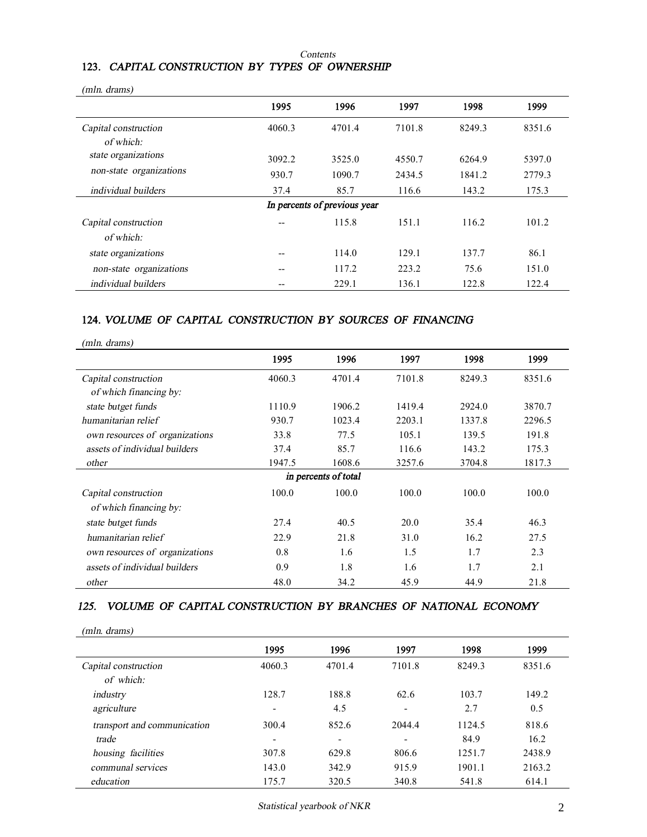#### *Contents*

## **123.** *CAPITAL CONSTRUCTION BY TYPES OF OWNERSHIP*

| (mln. drams)            |        |                              |        |        |        |
|-------------------------|--------|------------------------------|--------|--------|--------|
|                         | 1995   | 1996                         | 1997   | 1998   | 1999   |
| Capital construction    | 4060.3 | 4701.4                       | 7101.8 | 8249.3 | 8351.6 |
| of which:               |        |                              |        |        |        |
| state organizations     | 3092.2 | 3525.0                       | 4550.7 | 6264.9 | 5397.0 |
| non-state organizations | 930.7  | 1090.7                       | 2434.5 | 1841.2 | 2779.3 |
| individual builders     | 37.4   | 85.7                         | 116.6  | 143.2  | 175.3  |
|                         |        | In percents of previous year |        |        |        |
| Capital construction    |        | 115.8                        | 151.1  | 116.2  | 101.2  |
| of which:               |        |                              |        |        |        |
| state organizations     | --     | 114.0                        | 129.1  | 137.7  | 86.1   |
| non-state organizations | --     | 117.2                        | 223.2  | 75.6   | 151.0  |
| individual builders     |        | 229.1                        | 136.1  | 122.8  | 122.4  |

#### **124.** *VOLUME OF CAPITAL CONSTRUCTION BY SOURCES OF FINANCING*

| (mln. drams)                   |        |                      |        |        |        |
|--------------------------------|--------|----------------------|--------|--------|--------|
|                                | 1995   | 1996                 | 1997   | 1998   | 1999   |
| Capital construction           | 4060.3 | 4701.4               | 7101.8 | 8249.3 | 8351.6 |
| of which financing by:         |        |                      |        |        |        |
| state butget funds             | 1110.9 | 1906.2               | 1419.4 | 2924.0 | 3870.7 |
| humanitarian relief            | 930.7  | 1023.4               | 2203.1 | 1337.8 | 2296.5 |
| own resources of organizations | 33.8   | 77.5                 | 105.1  | 139.5  | 191.8  |
| assets of individual builders  | 37.4   | 85.7                 | 116.6  | 143.2  | 175.3  |
| other                          | 1947.5 | 1608.6               | 3257.6 | 3704.8 | 1817.3 |
|                                |        | in percents of total |        |        |        |
| Capital construction           | 100.0  | 100.0                | 100.0  | 100.0  | 100.0  |
| of which financing by:         |        |                      |        |        |        |
| state butget funds             | 27.4   | 40.5                 | 20.0   | 35.4   | 46.3   |
| humanitarian relief            | 22.9   | 21.8                 | 31.0   | 16.2   | 27.5   |
| own resources of organizations | 0.8    | 1.6                  | 1.5    | 1.7    | 2.3    |
| assets of individual builders  | 0.9    | 1.8                  | 1.6    | 1.7    | 2.1    |
| other                          | 48.0   | 34.2                 | 45.9   | 44.9   | 21.8   |

#### 125. VOLUME OF CAPITAL CONSTRUCTION BY BRANCHES OF NATIONAL ECONOMY

*(mln. drams)* 

|                             | 1995   | 1996                     | 1997   | 1998   | 1999   |
|-----------------------------|--------|--------------------------|--------|--------|--------|
| Capital construction        | 4060.3 | 4701.4                   | 7101.8 | 8249.3 | 8351.6 |
| of which:                   |        |                          |        |        |        |
| industry                    | 128.7  | 188.8                    | 62.6   | 103.7  | 149.2  |
| agriculture                 | -      | 4.5                      | -      | 2.7    | 0.5    |
| transport and communication | 300.4  | 852.6                    | 2044.4 | 1124.5 | 818.6  |
| trade                       | ۰      | $\overline{\phantom{0}}$ |        | 84.9   | 16.2   |
| housing facilities          | 307.8  | 629.8                    | 806.6  | 1251.7 | 2438.9 |
| communal services           | 143.0  | 342.9                    | 915.9  | 1901.1 | 2163.2 |
| education                   | 175.7  | 320.5                    | 340.8  | 541.8  | 614.1  |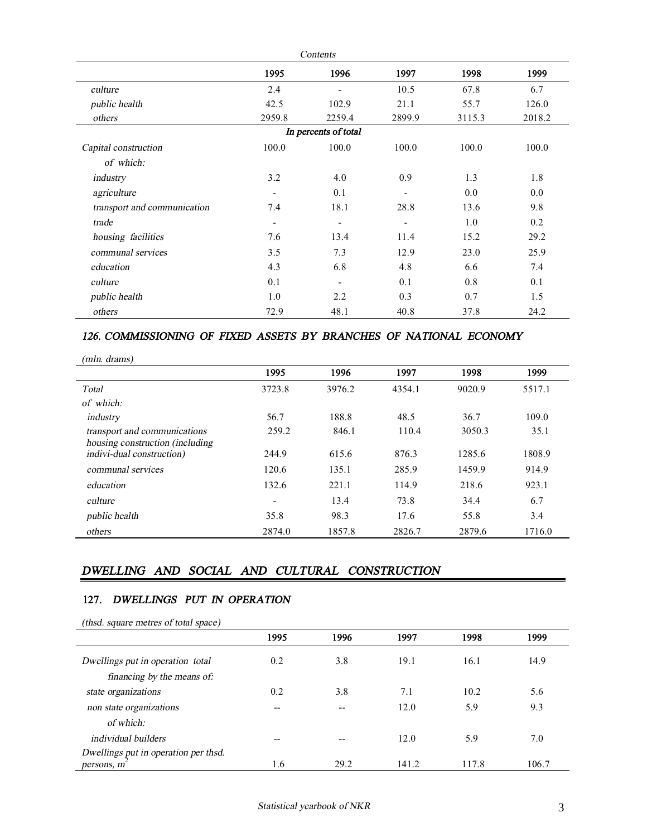|                             |                          | Contents                 |                          |        |        |
|-----------------------------|--------------------------|--------------------------|--------------------------|--------|--------|
|                             | 1995                     | 1996                     | 1997                     | 1998   | 1999   |
| culture                     | 2.4                      |                          | 10.5                     | 67.8   | 6.7    |
| public health               | 42.5                     | 102.9                    | 21.1                     | 55.7   | 126.0  |
| others                      | 2959.8                   | 2259.4                   | 2899.9                   | 3115.3 | 2018.2 |
|                             |                          | In percents of total     |                          |        |        |
| Capital construction        | 100.0                    | 100.0                    | 100.0                    | 100.0  | 100.0  |
| of which:                   |                          |                          |                          |        |        |
| industry                    | 3.2                      | 4.0                      | 0.9                      | 1.3    | 1.8    |
| agriculture                 | $\overline{\phantom{a}}$ | 0.1                      |                          | 0.0    | 0.0    |
| transport and communication | 7.4                      | 18.1                     | 28.8                     | 13.6   | 9.8    |
| trade                       | $\overline{\phantom{a}}$ | $\overline{\phantom{a}}$ | $\overline{\phantom{a}}$ | 1.0    | 0.2    |
| housing facilities          | 7.6                      | 13.4                     | 11.4                     | 15.2   | 29.2   |
| communal services           | 3.5                      | 7.3                      | 12.9                     | 23.0   | 25.9   |
| education                   | 4.3                      | 6.8                      | 4.8                      | 6.6    | 7.4    |
| culture                     | 0.1                      |                          | 0.1                      | 0.8    | 0.1    |
| public health               | 1.0                      | 2.2                      | 0.3                      | 0.7    | 1.5    |
| others                      | 72.9                     | 48.1                     | 40.8                     | 37.8   | 24.2   |

#### *126. COMMISSIONING OF FIXED ASSETS BY BRANCHES OF NATIONAL ECONOMY*

| (mln. drams)                    |        |        |        |        |        |
|---------------------------------|--------|--------|--------|--------|--------|
|                                 | 1995   | 1996   | 1997   | 1998   | 1999   |
| Total                           | 3723.8 | 3976.2 | 4354.1 | 9020.9 | 5517.1 |
| of which:                       |        |        |        |        |        |
| industry                        | 56.7   | 188.8  | 48.5   | 36.7   | 109.0  |
| transport and communications    | 259.2  | 846.1  | 110.4  | 3050.3 | 35.1   |
| housing construction (including |        |        |        |        |        |
| indivi-dual construction)       | 244.9  | 615.6  | 876.3  | 1285.6 | 1808.9 |
| communal services               | 120.6  | 135.1  | 285.9  | 1459.9 | 914.9  |
| education                       | 132.6  | 221.1  | 114.9  | 218.6  | 923.1  |
| culture                         | -      | 13.4   | 73.8   | 34.4   | 6.7    |
| <i>public</i> health            | 35.8   | 98.3   | 17.6   | 55.8   | 3.4    |
| others                          | 2874.0 | 1857.8 | 2826.7 | 2879.6 | 1716.0 |

## *DWELLING AND SOCIAL AND CULTURAL CONSTRUCTION*

#### 127. DWELLINGS PUT IN OPERATION

| (thsd. square metres of total space)               |      |      |       |       |       |
|----------------------------------------------------|------|------|-------|-------|-------|
|                                                    | 1995 | 1996 | 1997  | 1998  | 1999  |
| Dwellings put in operation total                   | 0.2  | 3.8  | 19.1  | 16.1  | 14.9  |
| financing by the means of:<br>state organizations  | 0.2  | 3.8  | 7.1   | 10.2  | 5.6   |
| non state organizations<br>of which:               | --   | --   | 12.0  | 5.9   | 9.3   |
| <i>individual</i> builders                         | --   | --   | 12.0  | 5.9   | 7.0   |
| Dwellings put in operation per thsd.<br>persons, m | 1.6  | 29.2 | 141.2 | 117.8 | 106.7 |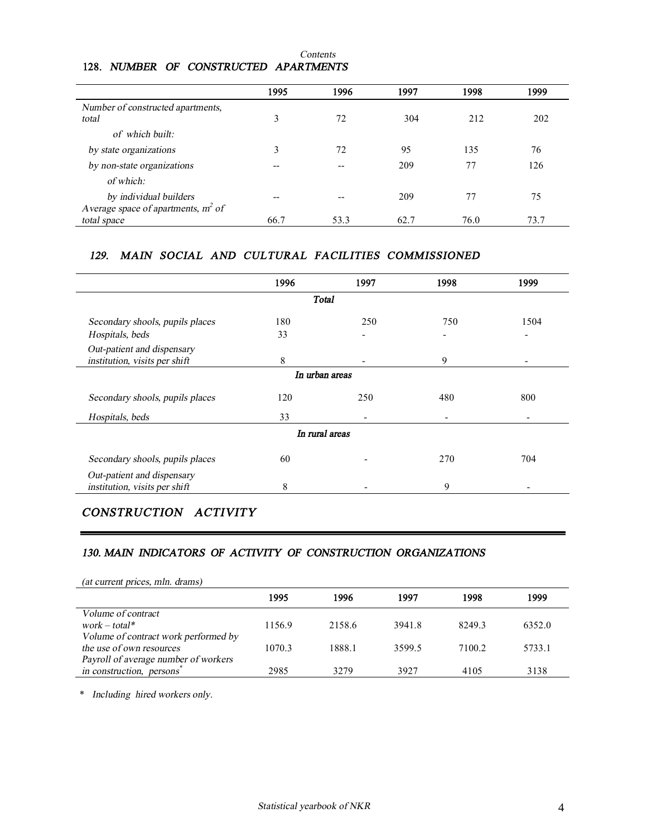|                                       | 1995 | 1996 | 1997 | 1998 | 1999 |
|---------------------------------------|------|------|------|------|------|
| Number of constructed apartments,     |      |      |      |      |      |
| total                                 | 3    | 72   | 304  | 212  | 202  |
| of which built:                       |      |      |      |      |      |
| by state organizations                | 3    | 72   | 95   | 135  | 76   |
| by non-state organizations            | --   | --   | 209  | 77   | 126  |
| of which:                             |      |      |      |      |      |
| by individual builders                | --   | --   | 209  | 77   | 75   |
| Average space of apartments, $m^2$ of |      |      |      |      |      |
| total space                           | 66.7 | 53.3 | 62.7 | 76.0 | 73.7 |

#### *Contents* **128.** *NUMBER OF CONSTRUCTED APARTMENTS*

## *129.**MAIN SOCIAL AND CULTURAL FACILITIES COMMISSIONED*

|                                                             | 1996 | 1997           | 1998 | 1999 |
|-------------------------------------------------------------|------|----------------|------|------|
|                                                             |      | Total          |      |      |
| Secondary shools, pupils places                             | 180  | 250            | 750  | 1504 |
| Hospitals, beds                                             | 33   |                |      |      |
| Out-patient and dispensary<br>institution, visits per shift | 8    | ۰              | 9    |      |
|                                                             |      | In urban areas |      |      |
| Secondary shools, pupils places                             | 120  | 250            | 480  | 800  |
| Hospitals, beds                                             | 33   |                |      |      |
|                                                             |      | In rural areas |      |      |
| Secondary shools, pupils places                             | 60   |                | 270  | 704  |
| Out-patient and dispensary<br>institution, visits per shift | 8    |                | 9    |      |

# *CONSTRUCTION ACTIVITY*

#### *130. MAIN INDICATORS OF ACTIVITY OF CONSTRUCTION ORGANIZATIONS*

| (at current prices, mln. drams)      |        |        |        |        |        |
|--------------------------------------|--------|--------|--------|--------|--------|
|                                      | 1995   | 1996   | 1997   | 1998   | 1999   |
| Volume of contract                   |        |        |        |        |        |
| $work - total*$                      | 1156.9 | 2158.6 | 3941.8 | 8249.3 | 6352.0 |
| Volume of contract work performed by |        |        |        |        |        |
| the use of own resources             | 1070.3 | 1888.1 | 3599.5 | 7100.2 | 5733.1 |
| Payroll of average number of workers |        |        |        |        |        |
| in construction, persons             | 2985   | 3279   | 3927   | 4105   | 3138   |

\* *Including hired workers only.*